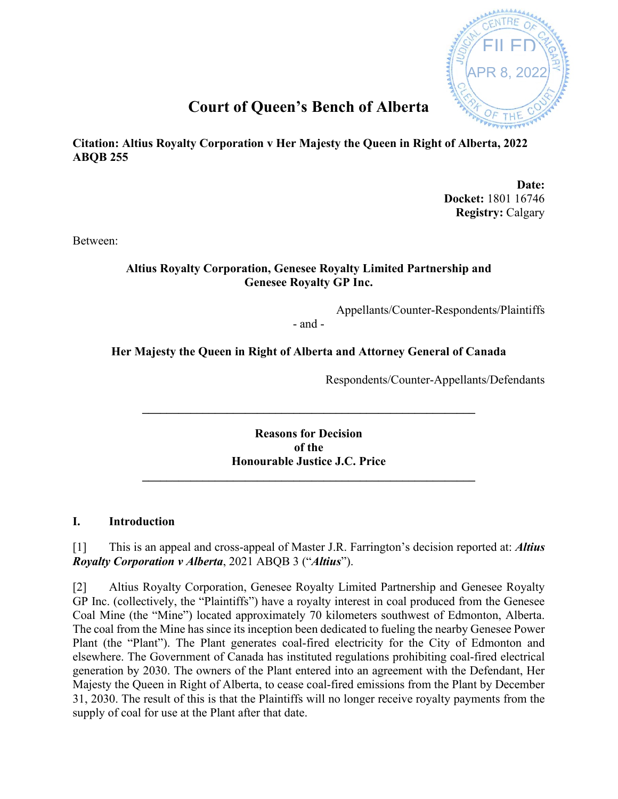

# **Court of Queen's Bench of Alberta**

**Citation: Altius Royalty Corporation v Her Majesty the Queen in Right of Alberta, 2022 ABQB 255**

> **Date: Docket:** 1801 16746 **Registry:** Calgary

Between:

## **Altius Royalty Corporation, Genesee Royalty Limited Partnership and Genesee Royalty GP Inc.**

Appellants/Counter-Respondents/Plaintiffs

- and -

# **Her Majesty the Queen in Right of Alberta and Attorney General of Canada**

Respondents/Counter-Appellants/Defendants

**Reasons for Decision of the Honourable Justice J.C. Price**

**\_\_\_\_\_\_\_\_\_\_\_\_\_\_\_\_\_\_\_\_\_\_\_\_\_\_\_\_\_\_\_\_\_\_\_\_\_\_\_\_\_\_\_\_\_\_\_\_\_\_\_\_\_\_\_**

**\_\_\_\_\_\_\_\_\_\_\_\_\_\_\_\_\_\_\_\_\_\_\_\_\_\_\_\_\_\_\_\_\_\_\_\_\_\_\_\_\_\_\_\_\_\_\_\_\_\_\_\_\_\_\_**

## **I. Introduction**

[1] This is an appeal and cross-appeal of Master J.R. Farrington's decision reported at: *Altius Royalty Corporation v Alberta*, 2021 ABQB 3 ("*Altius*").

[2] Altius Royalty Corporation, Genesee Royalty Limited Partnership and Genesee Royalty GP Inc. (collectively, the "Plaintiffs") have a royalty interest in coal produced from the Genesee Coal Mine (the "Mine") located approximately 70 kilometers southwest of Edmonton, Alberta. The coal from the Mine has since its inception been dedicated to fueling the nearby Genesee Power Plant (the "Plant"). The Plant generates coal-fired electricity for the City of Edmonton and elsewhere. The Government of Canada has instituted regulations prohibiting coal-fired electrical generation by 2030. The owners of the Plant entered into an agreement with the Defendant, Her Majesty the Queen in Right of Alberta, to cease coal-fired emissions from the Plant by December 31, 2030. The result of this is that the Plaintiffs will no longer receive royalty payments from the supply of coal for use at the Plant after that date.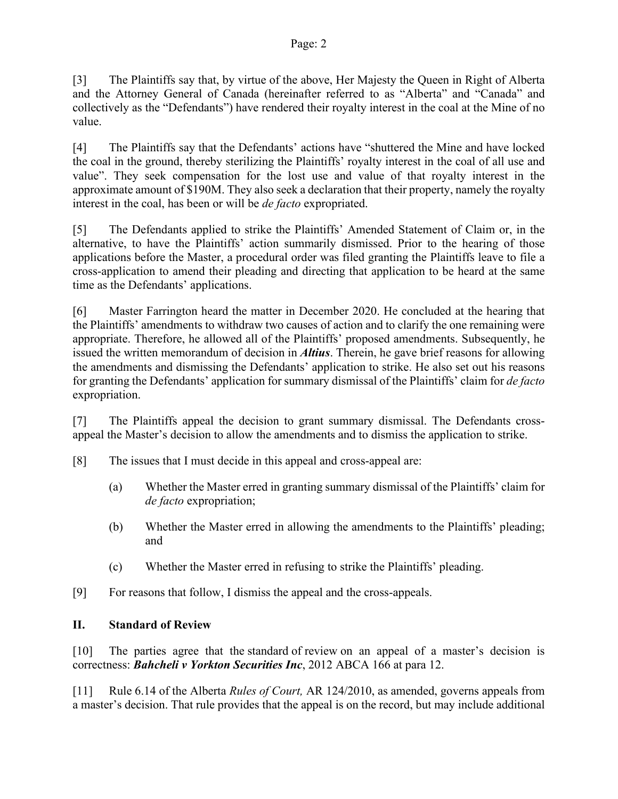#### Page: 2

[3] The Plaintiffs say that, by virtue of the above, Her Majesty the Queen in Right of Alberta and the Attorney General of Canada (hereinafter referred to as "Alberta" and "Canada" and collectively as the "Defendants") have rendered their royalty interest in the coal at the Mine of no value.

[4] The Plaintiffs say that the Defendants' actions have "shuttered the Mine and have locked the coal in the ground, thereby sterilizing the Plaintiffs' royalty interest in the coal of all use and value". They seek compensation for the lost use and value of that royalty interest in the approximate amount of \$190M. They also seek a declaration that their property, namely the royalty interest in the coal, has been or will be *de facto* expropriated.

[5] The Defendants applied to strike the Plaintiffs' Amended Statement of Claim or, in the alternative, to have the Plaintiffs' action summarily dismissed. Prior to the hearing of those applications before the Master, a procedural order was filed granting the Plaintiffs leave to file a cross-application to amend their pleading and directing that application to be heard at the same time as the Defendants' applications.

[6] Master Farrington heard the matter in December 2020. He concluded at the hearing that the Plaintiffs' amendments to withdraw two causes of action and to clarify the one remaining were appropriate. Therefore, he allowed all of the Plaintiffs' proposed amendments. Subsequently, he issued the written memorandum of decision in *Altius*. Therein, he gave brief reasons for allowing the amendments and dismissing the Defendants' application to strike. He also set out his reasons for granting the Defendants' application for summary dismissal of the Plaintiffs' claim for *de facto* expropriation.

[7] The Plaintiffs appeal the decision to grant summary dismissal. The Defendants crossappeal the Master's decision to allow the amendments and to dismiss the application to strike.

- [8] The issues that I must decide in this appeal and cross-appeal are:
	- (a) Whether the Master erred in granting summary dismissal of the Plaintiffs' claim for *de facto* expropriation;
	- (b) Whether the Master erred in allowing the amendments to the Plaintiffs' pleading; and
	- (c) Whether the Master erred in refusing to strike the Plaintiffs' pleading.
- [9] For reasons that follow, I dismiss the appeal and the cross-appeals.

## **II. Standard of Review**

[10] The parties agree that the standard of review on an appeal of a master's decision is correctness: *[Bahcheli v Yorkton Securities Inc](https://nextcanada.westlaw.com/Link/Document/FullText?findType=Y&serNum=2027811009&pubNum=0006455&originatingDoc=Ic28f16f3b05646fae0540010e03eefe0&refType=IC&originationContext=document&transitionType=DocumentItem&contextData=(sc.Search))*, 2012 ABCA 166 at para 12.

[11] Rule 6.14 of the Alberta *Rules of Court,* AR 124/2010, as amended, governs appeals from a master's decision. That rule provides that the appeal is on the record, but may include additional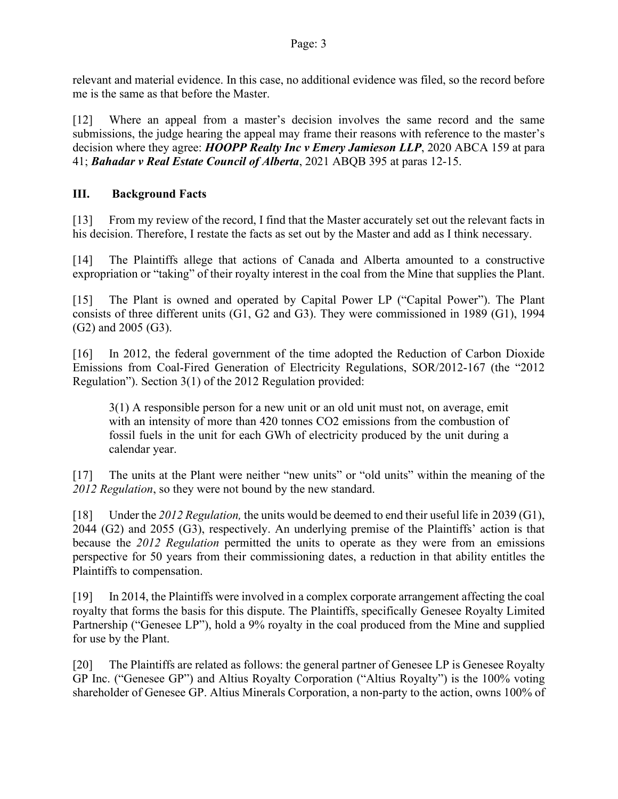relevant and material evidence. In this case, no additional evidence was filed, so the record before me is the same as that before the Master.

[12] Where an appeal from a master's decision involves the same record and the same submissions, the judge hearing the appeal may frame their reasons with reference to the master's decision where they agree: *HOOPP Realty Inc v Emery Jamieson LLP*, 2020 ABCA 159 at para 41; *Bahadar v Real Estate Council of Alberta*, 2021 ABQB 395 at paras 12-15.

# **III. Background Facts**

[13] From my review of the record, I find that the Master accurately set out the relevant facts in his decision. Therefore, I restate the facts as set out by the Master and add as I think necessary.

[14] The Plaintiffs allege that actions of Canada and Alberta amounted to a constructive expropriation or "taking" of their royalty interest in the coal from the Mine that supplies the Plant.

[15] The Plant is owned and operated by Capital Power LP ("Capital Power"). The Plant consists of three different units (G1, G2 and G3). They were commissioned in 1989 (G1), 1994 (G2) and 2005 (G3).

[16] In 2012, the federal government of the time adopted the Reduction of Carbon Dioxide Emissions from Coal-Fired Generation of Electricity Regulations, SOR/2012-167 (the "2012 Regulation"). Section 3(1) of the 2012 Regulation provided:

3(1) A responsible person for a new unit or an old unit must not, on average, emit with an intensity of more than 420 tonnes CO2 emissions from the combustion of fossil fuels in the unit for each GWh of electricity produced by the unit during a calendar year.

[17] The units at the Plant were neither "new units" or "old units" within the meaning of the *2012 Regulation*, so they were not bound by the new standard.

[18] Under the *2012 Regulation,* the units would be deemed to end their useful life in 2039 (G1), 2044 (G2) and 2055 (G3), respectively. An underlying premise of the Plaintiffs' action is that because the *2012 Regulation* permitted the units to operate as they were from an emissions perspective for 50 years from their commissioning dates, a reduction in that ability entitles the Plaintiffs to compensation.

[19] In 2014, the Plaintiffs were involved in a complex corporate arrangement affecting the coal royalty that forms the basis for this dispute. The Plaintiffs, specifically Genesee Royalty Limited Partnership ("Genesee LP"), hold a 9% royalty in the coal produced from the Mine and supplied for use by the Plant.

[20] The Plaintiffs are related as follows: the general partner of Genesee LP is Genesee Royalty GP Inc. ("Genesee GP") and Altius Royalty Corporation ("Altius Royalty") is the 100% voting shareholder of Genesee GP. Altius Minerals Corporation, a non-party to the action, owns 100% of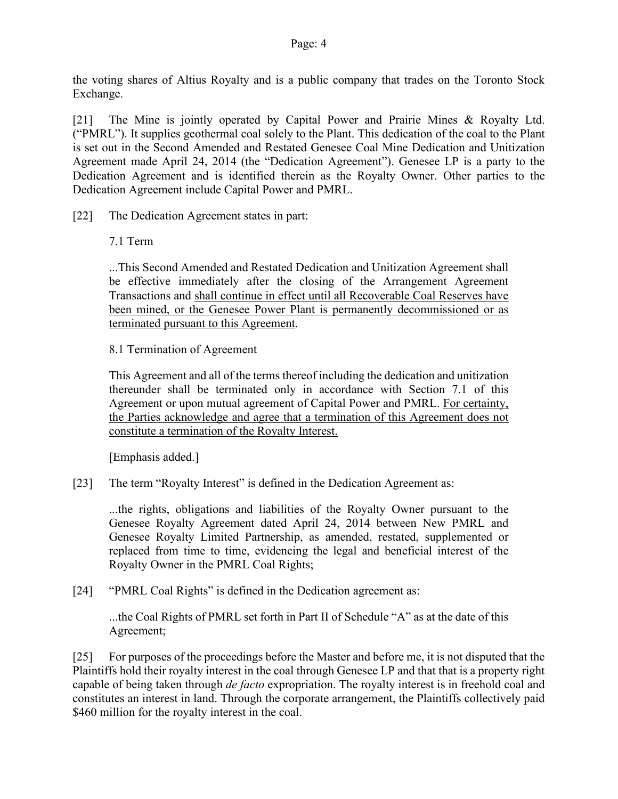the voting shares of Altius Royalty and is a public company that trades on the Toronto Stock Exchange.

[21] The Mine is jointly operated by Capital Power and Prairie Mines & Royalty Ltd. ("PMRL"). It supplies geothermal coal solely to the Plant. This dedication of the coal to the Plant is set out in the Second Amended and Restated Genesee Coal Mine Dedication and Unitization Agreement made April 24, 2014 (the "Dedication Agreement"). Genesee LP is a party to the Dedication Agreement and is identified therein as the Royalty Owner. Other parties to the Dedication Agreement include Capital Power and PMRL.

- [22] The Dedication Agreement states in part:
	- 7.1 Term

...This Second Amended and Restated Dedication and Unitization Agreement shall be effective immediately after the closing of the Arrangement Agreement Transactions and shall continue in effect until all Recoverable Coal Reserves have been mined, or the Genesee Power Plant is permanently decommissioned or as terminated pursuant to this Agreement.

8.1 Termination of Agreement

This Agreement and all of the terms thereof including the dedication and unitization thereunder shall be terminated only in accordance with Section 7.1 of this Agreement or upon mutual agreement of Capital Power and PMRL. For certainty, the Parties acknowledge and agree that a termination of this Agreement does not constitute a termination of the Royalty Interest.

[Emphasis added.]

[23] The term "Royalty Interest" is defined in the Dedication Agreement as:

...the rights, obligations and liabilities of the Royalty Owner pursuant to the Genesee Royalty Agreement dated April 24, 2014 between New PMRL and Genesee Royalty Limited Partnership, as amended, restated, supplemented or replaced from time to time, evidencing the legal and beneficial interest of the Royalty Owner in the PMRL Coal Rights;

[24] "PMRL Coal Rights" is defined in the Dedication agreement as:

...the Coal Rights of PMRL set forth in Part II of Schedule "A" as at the date of this Agreement;

[25] For purposes of the proceedings before the Master and before me, it is not disputed that the Plaintiffs hold their royalty interest in the coal through Genesee LP and that that is a property right capable of being taken through *de facto* expropriation. The royalty interest is in freehold coal and constitutes an interest in land. Through the corporate arrangement, the Plaintiffs collectively paid \$460 million for the royalty interest in the coal.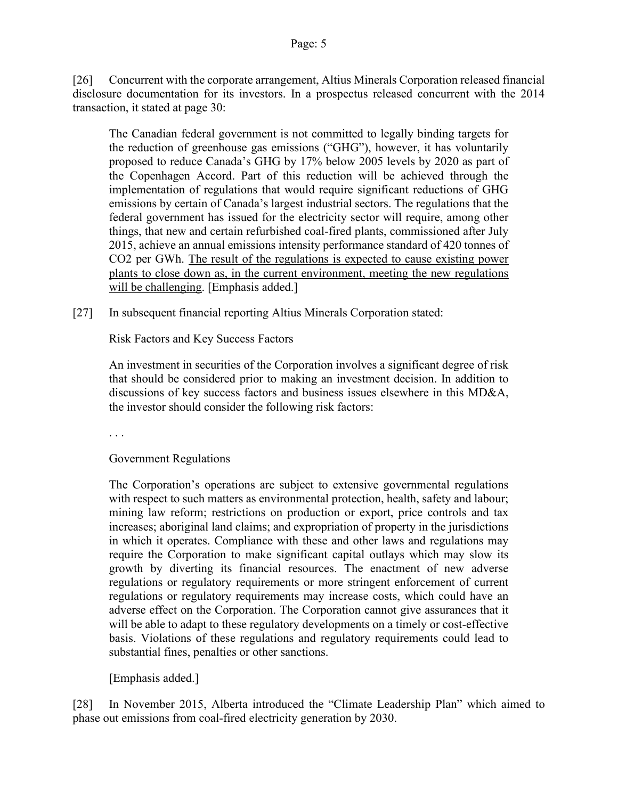[26] Concurrent with the corporate arrangement, Altius Minerals Corporation released financial disclosure documentation for its investors. In a prospectus released concurrent with the 2014 transaction, it stated at page 30:

The Canadian federal government is not committed to legally binding targets for the reduction of greenhouse gas emissions ("GHG"), however, it has voluntarily proposed to reduce Canada's GHG by 17% below 2005 levels by 2020 as part of the Copenhagen Accord. Part of this reduction will be achieved through the implementation of regulations that would require significant reductions of GHG emissions by certain of Canada's largest industrial sectors. The regulations that the federal government has issued for the electricity sector will require, among other things, that new and certain refurbished coal-fired plants, commissioned after July 2015, achieve an annual emissions intensity performance standard of 420 tonnes of CO2 per GWh. The result of the regulations is expected to cause existing power plants to close down as, in the current environment, meeting the new regulations will be challenging. [Emphasis added.]

[27] In subsequent financial reporting Altius Minerals Corporation stated:

Risk Factors and Key Success Factors

An investment in securities of the Corporation involves a significant degree of risk that should be considered prior to making an investment decision. In addition to discussions of key success factors and business issues elsewhere in this MD&A, the investor should consider the following risk factors:

. . .

Government Regulations

The Corporation's operations are subject to extensive governmental regulations with respect to such matters as environmental protection, health, safety and labour; mining law reform; restrictions on production or export, price controls and tax increases; aboriginal land claims; and expropriation of property in the jurisdictions in which it operates. Compliance with these and other laws and regulations may require the Corporation to make significant capital outlays which may slow its growth by diverting its financial resources. The enactment of new adverse regulations or regulatory requirements or more stringent enforcement of current regulations or regulatory requirements may increase costs, which could have an adverse effect on the Corporation. The Corporation cannot give assurances that it will be able to adapt to these regulatory developments on a timely or cost-effective basis. Violations of these regulations and regulatory requirements could lead to substantial fines, penalties or other sanctions.

[Emphasis added.]

[28] In November 2015, Alberta introduced the "Climate Leadership Plan" which aimed to phase out emissions from coal-fired electricity generation by 2030.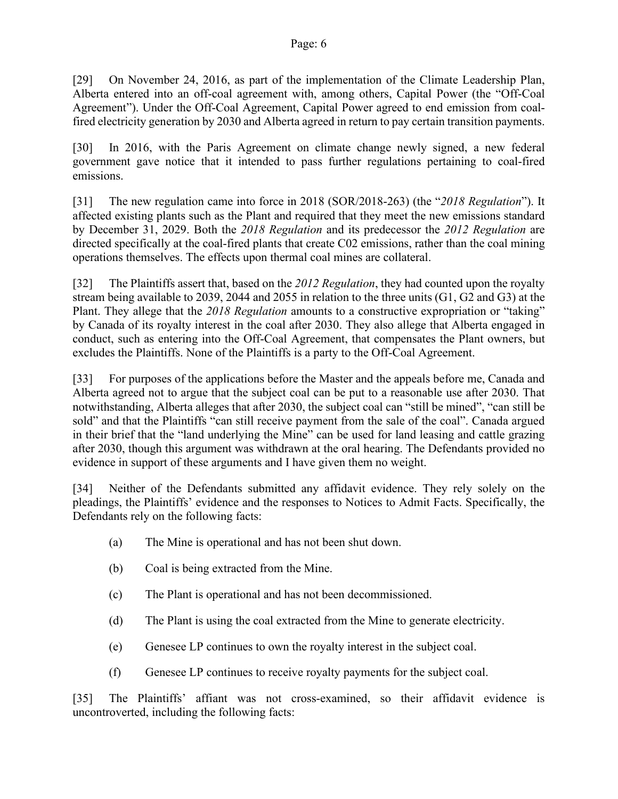[29] On November 24, 2016, as part of the implementation of the Climate Leadership Plan, Alberta entered into an off-coal agreement with, among others, Capital Power (the "Off-Coal Agreement"). Under the Off-Coal Agreement, Capital Power agreed to end emission from coalfired electricity generation by 2030 and Alberta agreed in return to pay certain transition payments.

[30] In 2016, with the Paris Agreement on climate change newly signed, a new federal government gave notice that it intended to pass further regulations pertaining to coal-fired emissions.

[31] The new regulation came into force in 2018 (SOR/2018-263) (the "*2018 Regulation*"). It affected existing plants such as the Plant and required that they meet the new emissions standard by December 31, 2029. Both the *2018 Regulation* and its predecessor the *2012 Regulation* are directed specifically at the coal-fired plants that create C02 emissions, rather than the coal mining operations themselves. The effects upon thermal coal mines are collateral.

[32] The Plaintiffs assert that, based on the *2012 Regulation*, they had counted upon the royalty stream being available to 2039, 2044 and 2055 in relation to the three units (G1, G2 and G3) at the Plant. They allege that the *2018 Regulation* amounts to a constructive expropriation or "taking" by Canada of its royalty interest in the coal after 2030. They also allege that Alberta engaged in conduct, such as entering into the Off-Coal Agreement, that compensates the Plant owners, but excludes the Plaintiffs. None of the Plaintiffs is a party to the Off-Coal Agreement.

[33] For purposes of the applications before the Master and the appeals before me, Canada and Alberta agreed not to argue that the subject coal can be put to a reasonable use after 2030. That notwithstanding, Alberta alleges that after 2030, the subject coal can "still be mined", "can still be sold" and that the Plaintiffs "can still receive payment from the sale of the coal". Canada argued in their brief that the "land underlying the Mine" can be used for land leasing and cattle grazing after 2030, though this argument was withdrawn at the oral hearing. The Defendants provided no evidence in support of these arguments and I have given them no weight.

[34] Neither of the Defendants submitted any affidavit evidence. They rely solely on the pleadings, the Plaintiffs' evidence and the responses to Notices to Admit Facts. Specifically, the Defendants rely on the following facts:

- (a) The Mine is operational and has not been shut down.
- (b) Coal is being extracted from the Mine.
- (c) The Plant is operational and has not been decommissioned.
- (d) The Plant is using the coal extracted from the Mine to generate electricity.
- (e) Genesee LP continues to own the royalty interest in the subject coal.
- (f) Genesee LP continues to receive royalty payments for the subject coal.

[35] The Plaintiffs' affiant was not cross-examined, so their affidavit evidence is uncontroverted, including the following facts: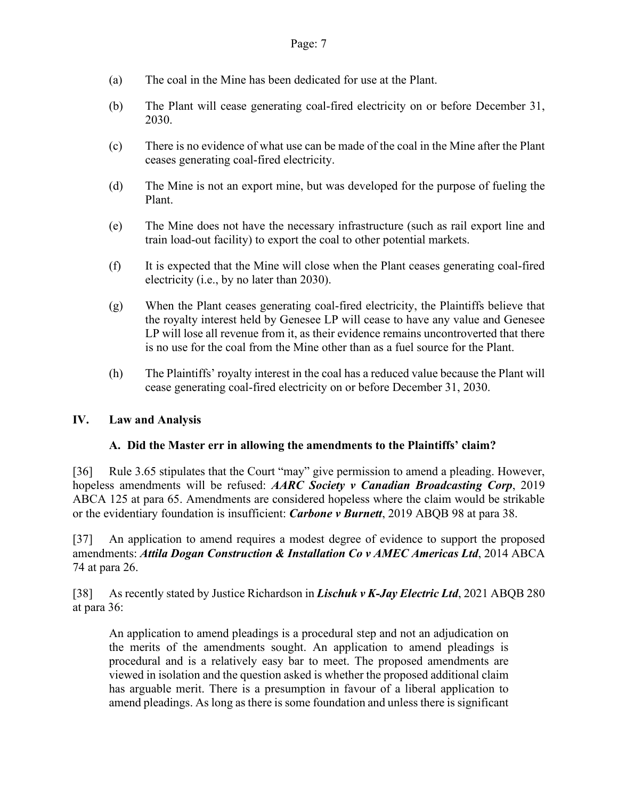- (a) The coal in the Mine has been dedicated for use at the Plant.
- (b) The Plant will cease generating coal-fired electricity on or before December 31, 2030.
- (c) There is no evidence of what use can be made of the coal in the Mine after the Plant ceases generating coal-fired electricity.
- (d) The Mine is not an export mine, but was developed for the purpose of fueling the Plant.
- (e) The Mine does not have the necessary infrastructure (such as rail export line and train load-out facility) to export the coal to other potential markets.
- (f) It is expected that the Mine will close when the Plant ceases generating coal-fired electricity (i.e., by no later than 2030).
- (g) When the Plant ceases generating coal-fired electricity, the Plaintiffs believe that the royalty interest held by Genesee LP will cease to have any value and Genesee LP will lose all revenue from it, as their evidence remains uncontroverted that there is no use for the coal from the Mine other than as a fuel source for the Plant.
- (h) The Plaintiffs' royalty interest in the coal has a reduced value because the Plant will cease generating coal-fired electricity on or before December 31, 2030.

## **IV. Law and Analysis**

## **A. Did the Master err in allowing the amendments to the Plaintiffs' claim?**

[36] Rule 3.65 stipulates that the Court "may" give permission to amend a pleading. However, hopeless amendments will be refused: *AARC Society v Canadian Broadcasting Corp*, 2019 ABCA 125 at para 65. Amendments are considered hopeless where the claim would be strikable or the evidentiary foundation is insufficient: *Carbone v Burnett*, 2019 ABQB 98 at para 38.

[37] An application to amend requires a modest degree of evidence to support the proposed amendments: *Attila Dogan Construction & Installation Co v AMEC Americas Ltd*, 2014 ABCA 74 at para 26.

[38] As recently stated by Justice Richardson in *Lischuk v K-Jay Electric Ltd*, 2021 ABQB 280 at para 36:

An application to amend pleadings is a procedural step and not an adjudication on the merits of the amendments sought. An application to amend pleadings is procedural and is a relatively easy bar to meet. The proposed amendments are viewed in isolation and the question asked is whether the proposed additional claim has arguable merit. There is a presumption in favour of a liberal application to amend pleadings. As long as there is some foundation and unless there is significant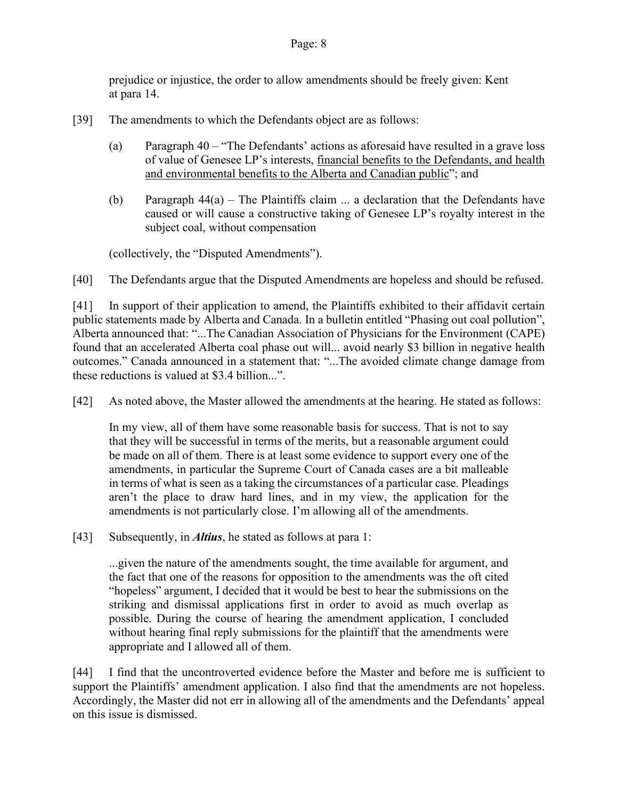prejudice or injustice, the order to allow amendments should be freely given: Kent at para 14.

- [39] The amendments to which the Defendants object are as follows:
	- (a) Paragraph 40 "The Defendants' actions as aforesaid have resulted in a grave loss of value of Genesee LP's interests, financial benefits to the Defendants, and health and environmental benefits to the Alberta and Canadian public"; and
	- (b) Paragraph  $44(a)$  The Plaintiffs claim ... a declaration that the Defendants have caused or will cause a constructive taking of Genesee LP's royalty interest in the subject coal, without compensation

(collectively, the "Disputed Amendments").

[40] The Defendants argue that the Disputed Amendments are hopeless and should be refused.

[41] In support of their application to amend, the Plaintiffs exhibited to their affidavit certain public statements made by Alberta and Canada. In a bulletin entitled "Phasing out coal pollution", Alberta announced that: "...The Canadian Association of Physicians for the Environment (CAPE) found that an accelerated Alberta coal phase out will... avoid nearly \$3 billion in negative health outcomes." Canada announced in a statement that: "...The avoided climate change damage from these reductions is valued at \$3.4 billion...".

[42] As noted above, the Master allowed the amendments at the hearing. He stated as follows:

In my view, all of them have some reasonable basis for success. That is not to say that they will be successful in terms of the merits, but a reasonable argument could be made on all of them. There is at least some evidence to support every one of the amendments, in particular the Supreme Court of Canada cases are a bit malleable in terms of what is seen as a taking the circumstances of a particular case. Pleadings aren't the place to draw hard lines, and in my view, the application for the amendments is not particularly close. I'm allowing all of the amendments.

[43] Subsequently, in *Altius*, he stated as follows at para 1:

...given the nature of the amendments sought, the time available for argument, and the fact that one of the reasons for opposition to the amendments was the oft cited "hopeless" argument, I decided that it would be best to hear the submissions on the striking and dismissal applications first in order to avoid as much overlap as possible. During the course of hearing the amendment application, I concluded without hearing final reply submissions for the plaintiff that the amendments were appropriate and I allowed all of them.

[44] I find that the uncontroverted evidence before the Master and before me is sufficient to support the Plaintiffs' amendment application. I also find that the amendments are not hopeless. Accordingly, the Master did not err in allowing all of the amendments and the Defendants' appeal on this issue is dismissed.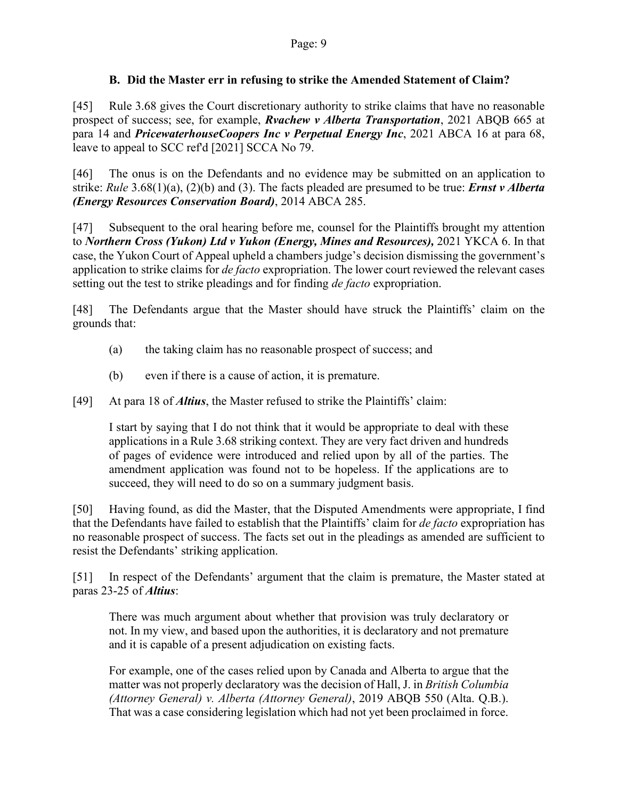#### **B. Did the Master err in refusing to strike the Amended Statement of Claim?**

[45] Rule 3.68 gives the Court discretionary authority to strike claims that have no reasonable prospect of success; see, for example, *Rvachew v Alberta Transportation*, 2021 ABQB 665 at para 14 and *PricewaterhouseCoopers Inc v Perpetual Energy Inc*, 2021 ABCA 16 at para 68, leave to appeal to SCC ref'd [2021] SCCA No 79.

[46] The onus is on the Defendants and no evidence may be submitted on an application to strike: *Rule* 3.68(1)(a), (2)(b) and (3). The facts pleaded are presumed to be true: *Ernst v Alberta (Energy Resources Conservation Board)*, 2014 ABCA 285.

[47] Subsequent to the oral hearing before me, counsel for the Plaintiffs brought my attention to *Northern Cross (Yukon) Ltd v Yukon (Energy, Mines and Resources),* 2021 YKCA 6. In that case, the Yukon Court of Appeal upheld a chambers judge's decision dismissing the government's application to strike claims for *de facto* expropriation. The lower court reviewed the relevant cases setting out the test to strike pleadings and for finding *de facto* expropriation.

[48] The Defendants argue that the Master should have struck the Plaintiffs' claim on the grounds that:

- (a) the taking claim has no reasonable prospect of success; and
- (b) even if there is a cause of action, it is premature.

[49] At para 18 of *Altius*, the Master refused to strike the Plaintiffs' claim:

I start by saying that I do not think that it would be appropriate to deal with these applications in a Rule 3.68 striking context. They are very fact driven and hundreds of pages of evidence were introduced and relied upon by all of the parties. The amendment application was found not to be hopeless. If the applications are to succeed, they will need to do so on a summary judgment basis.

[50] Having found, as did the Master, that the Disputed Amendments were appropriate, I find that the Defendants have failed to establish that the Plaintiffs' claim for *de facto* expropriation has no reasonable prospect of success. The facts set out in the pleadings as amended are sufficient to resist the Defendants' striking application.

[51] In respect of the Defendants' argument that the claim is premature, the Master stated at paras 23-25 of *Altius*:

There was much argument about whether that provision was truly declaratory or not. In my view, and based upon the authorities, it is declaratory and not premature and it is capable of a present adjudication on existing facts.

For example, one of the cases relied upon by Canada and Alberta to argue that the matter was not properly declaratory was the decision of Hall, J. in *British Columbia (Attorney General) v. Alberta (Attorney General)*, 2019 ABQB 550 (Alta. Q.B.). That was a case considering legislation which had not yet been proclaimed in force.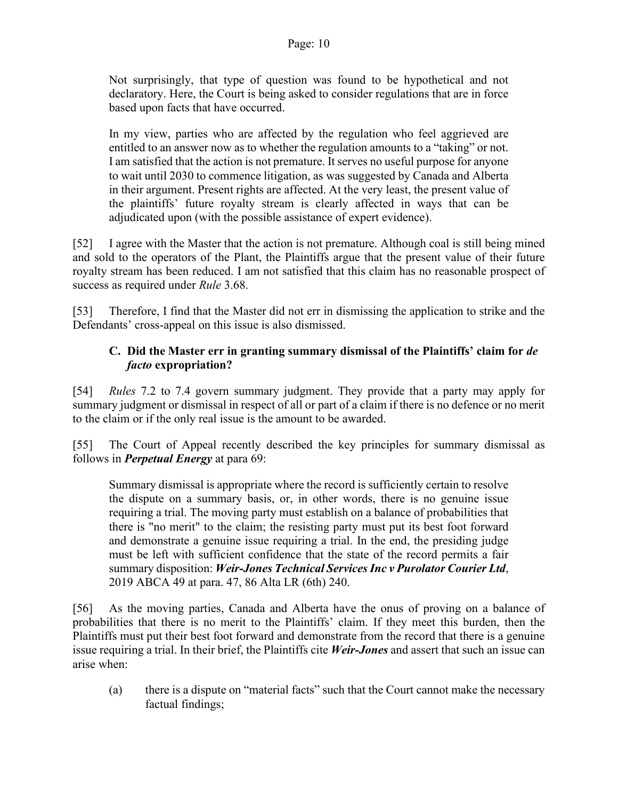Not surprisingly, that type of question was found to be hypothetical and not declaratory. Here, the Court is being asked to consider regulations that are in force based upon facts that have occurred.

In my view, parties who are affected by the regulation who feel aggrieved are entitled to an answer now as to whether the regulation amounts to a "taking" or not. I am satisfied that the action is not premature. It serves no useful purpose for anyone to wait until 2030 to commence litigation, as was suggested by Canada and Alberta in their argument. Present rights are affected. At the very least, the present value of the plaintiffs' future royalty stream is clearly affected in ways that can be adjudicated upon (with the possible assistance of expert evidence).

[52] I agree with the Master that the action is not premature. Although coal is still being mined and sold to the operators of the Plant, the Plaintiffs argue that the present value of their future royalty stream has been reduced. I am not satisfied that this claim has no reasonable prospect of success as required under *Rule* 3.68.

[53] Therefore, I find that the Master did not err in dismissing the application to strike and the Defendants' cross-appeal on this issue is also dismissed.

# **C. Did the Master err in granting summary dismissal of the Plaintiffs' claim for** *de facto* **expropriation?**

[54] *Rules* 7.2 to 7.4 govern summary judgment. They provide that a party may apply for summary judgment or dismissal in respect of all or part of a claim if there is no defence or no merit to the claim or if the only real issue is the amount to be awarded.

[55] The Court of Appeal recently described the key principles for summary dismissal as follows in *Perpetual Energy* at para 69:

Summary dismissal is appropriate where the record is sufficiently certain to resolve the dispute on a summary basis, or, in other words, there is no genuine issue requiring a trial. The moving party must establish on a balance of probabilities that there is "no merit" to the claim; the resisting party must put its best foot forward and demonstrate a genuine issue requiring a trial. In the end, the presiding judge must be left with sufficient confidence that the state of the record permits a fair summary disposition: *Weir-Jones Technical Services Inc v Purolator Courier Ltd*, 2019 ABCA 49 at para. 47, 86 Alta LR (6th) 240.

[56] As the moving parties, Canada and Alberta have the onus of proving on a balance of probabilities that there is no merit to the Plaintiffs' claim. If they meet this burden, then the Plaintiffs must put their best foot forward and demonstrate from the record that there is a genuine issue requiring a trial. In their brief, the Plaintiffs cite *Weir-Jones* and assert that such an issue can arise when:

(a) there is a dispute on "material facts" such that the Court cannot make the necessary factual findings;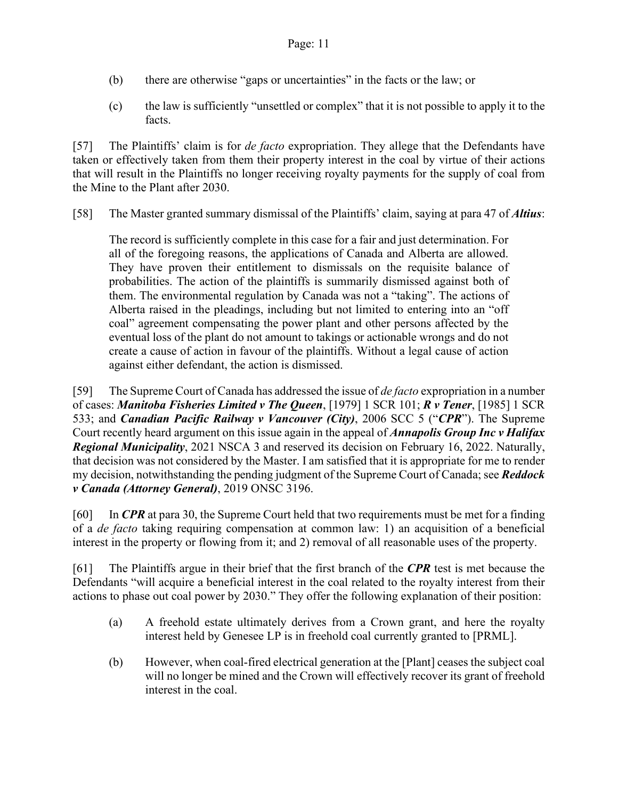- (b) there are otherwise "gaps or uncertainties" in the facts or the law; or
- (c) the law is sufficiently "unsettled or complex" that it is not possible to apply it to the facts.

[57] The Plaintiffs' claim is for *de facto* expropriation. They allege that the Defendants have taken or effectively taken from them their property interest in the coal by virtue of their actions that will result in the Plaintiffs no longer receiving royalty payments for the supply of coal from the Mine to the Plant after 2030.

[58] The Master granted summary dismissal of the Plaintiffs' claim, saying at para 47 of *Altius*:

The record is sufficiently complete in this case for a fair and just determination. For all of the foregoing reasons, the applications of Canada and Alberta are allowed. They have proven their entitlement to dismissals on the requisite balance of probabilities. The action of the plaintiffs is summarily dismissed against both of them. The environmental regulation by Canada was not a "taking". The actions of Alberta raised in the pleadings, including but not limited to entering into an "off coal" agreement compensating the power plant and other persons affected by the eventual loss of the plant do not amount to takings or actionable wrongs and do not create a cause of action in favour of the plaintiffs. Without a legal cause of action against either defendant, the action is dismissed.

[59] The Supreme Court of Canada has addressed the issue of *de facto* expropriation in a number of cases: *Manitoba Fisheries Limited v The Queen*, [1979] 1 SCR 101; *R v Tener*, [1985] 1 SCR 533; and *Canadian Pacific Railway v Vancouver (City)*, 2006 SCC 5 ("*CPR*"). The Supreme Court recently heard argument on this issue again in the appeal of *Annapolis Group Inc v Halifax Regional Municipality*, 2021 NSCA 3 and reserved its decision on February 16, 2022. Naturally, that decision was not considered by the Master. I am satisfied that it is appropriate for me to render my decision, notwithstanding the pending judgment of the Supreme Court of Canada; see *Reddock v Canada (Attorney General)*, 2019 ONSC 3196.

[60] In *CPR* at para 30, the Supreme Court held that two requirements must be met for a finding of a *de facto* taking requiring compensation at common law: 1) an acquisition of a beneficial interest in the property or flowing from it; and 2) removal of all reasonable uses of the property.

[61] The Plaintiffs argue in their brief that the first branch of the *CPR* test is met because the Defendants "will acquire a beneficial interest in the coal related to the royalty interest from their actions to phase out coal power by 2030." They offer the following explanation of their position:

- (a) A freehold estate ultimately derives from a Crown grant, and here the royalty interest held by Genesee LP is in freehold coal currently granted to [PRML].
- (b) However, when coal-fired electrical generation at the [Plant] ceases the subject coal will no longer be mined and the Crown will effectively recover its grant of freehold interest in the coal.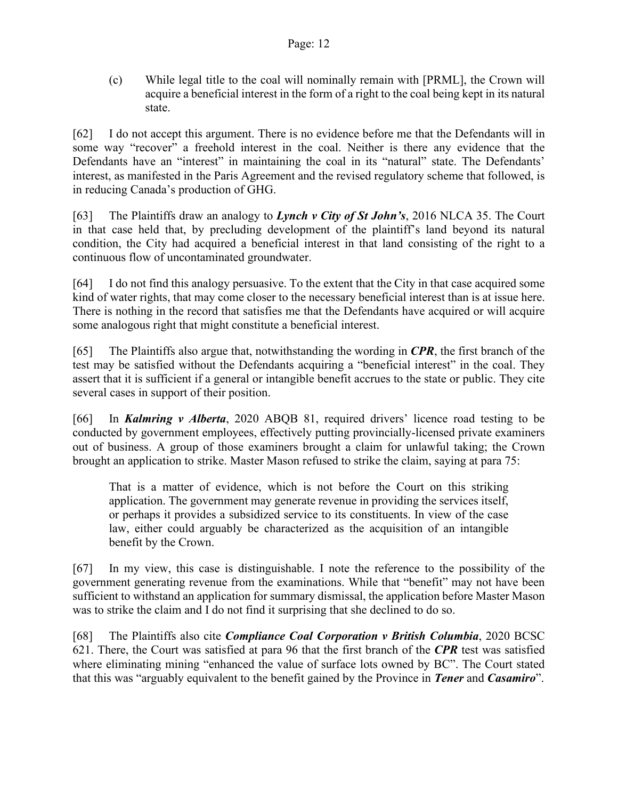(c) While legal title to the coal will nominally remain with [PRML], the Crown will acquire a beneficial interest in the form of a right to the coal being kept in its natural state.

[62] I do not accept this argument. There is no evidence before me that the Defendants will in some way "recover" a freehold interest in the coal. Neither is there any evidence that the Defendants have an "interest" in maintaining the coal in its "natural" state. The Defendants' interest, as manifested in the Paris Agreement and the revised regulatory scheme that followed, is in reducing Canada's production of GHG.

[63] The Plaintiffs draw an analogy to *Lynch v City of St John's*, 2016 NLCA 35. The Court in that case held that, by precluding development of the plaintiff's land beyond its natural condition, the City had acquired a beneficial interest in that land consisting of the right to a continuous flow of uncontaminated groundwater.

[64] I do not find this analogy persuasive. To the extent that the City in that case acquired some kind of water rights, that may come closer to the necessary beneficial interest than is at issue here. There is nothing in the record that satisfies me that the Defendants have acquired or will acquire some analogous right that might constitute a beneficial interest.

[65] The Plaintiffs also argue that, notwithstanding the wording in *CPR*, the first branch of the test may be satisfied without the Defendants acquiring a "beneficial interest" in the coal. They assert that it is sufficient if a general or intangible benefit accrues to the state or public. They cite several cases in support of their position.

[66] In *Kalmring v Alberta*, 2020 ABQB 81, required drivers' licence road testing to be conducted by government employees, effectively putting provincially-licensed private examiners out of business. A group of those examiners brought a claim for unlawful taking; the Crown brought an application to strike. Master Mason refused to strike the claim, saying at para 75:

That is a matter of evidence, which is not before the Court on this striking application. The government may generate revenue in providing the services itself, or perhaps it provides a subsidized service to its constituents. In view of the case law, either could arguably be characterized as the acquisition of an intangible benefit by the Crown.

[67] In my view, this case is distinguishable. I note the reference to the possibility of the government generating revenue from the examinations. While that "benefit" may not have been sufficient to withstand an application for summary dismissal, the application before Master Mason was to strike the claim and I do not find it surprising that she declined to do so.

[68] The Plaintiffs also cite *Compliance Coal Corporation v British Columbia*, 2020 BCSC 621. There, the Court was satisfied at para 96 that the first branch of the *CPR* test was satisfied where eliminating mining "enhanced the value of surface lots owned by BC". The Court stated that this was "arguably equivalent to the benefit gained by the Province in *Tener* and *Casamiro*".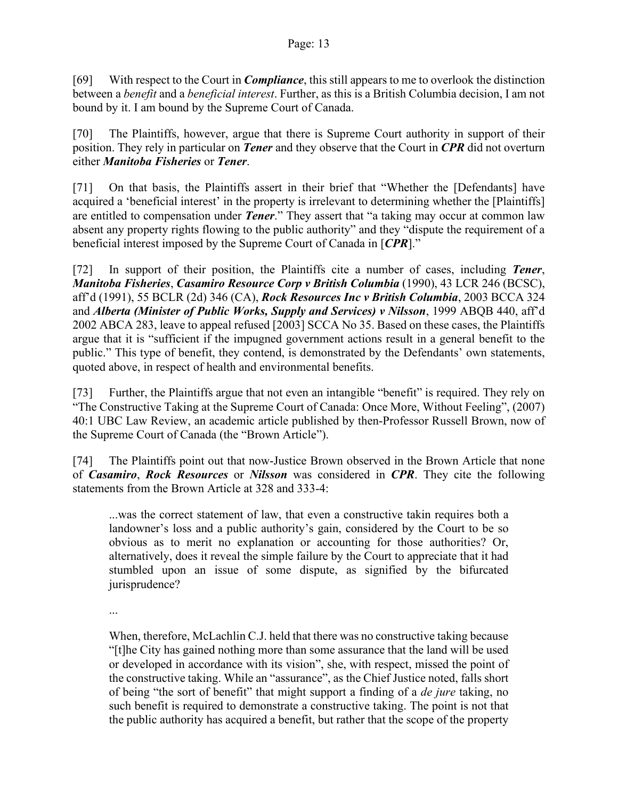[69] With respect to the Court in *Compliance*, this still appears to me to overlook the distinction between a *benefit* and a *beneficial interest*. Further, as this is a British Columbia decision, I am not bound by it. I am bound by the Supreme Court of Canada.

[70] The Plaintiffs, however, argue that there is Supreme Court authority in support of their position. They rely in particular on *Tener* and they observe that the Court in *CPR* did not overturn either *Manitoba Fisheries* or *Tener*.

[71] On that basis, the Plaintiffs assert in their brief that "Whether the [Defendants] have acquired a 'beneficial interest' in the property is irrelevant to determining whether the [Plaintiffs] are entitled to compensation under *Tener*." They assert that "a taking may occur at common law absent any property rights flowing to the public authority" and they "dispute the requirement of a beneficial interest imposed by the Supreme Court of Canada in [*CPR*]."

[72] In support of their position, the Plaintiffs cite a number of cases, including *Tener*, *Manitoba Fisheries*, *Casamiro Resource Corp v British Columbia* (1990), 43 LCR 246 (BCSC), aff'd (1991), 55 BCLR (2d) 346 (CA), *Rock Resources Inc v British Columbia*, 2003 BCCA 324 and *Alberta (Minister of Public Works, Supply and Services) v Nilsson*, 1999 ABQB 440, aff'd 2002 ABCA 283, leave to appeal refused [2003] SCCA No 35. Based on these cases, the Plaintiffs argue that it is "sufficient if the impugned government actions result in a general benefit to the public." This type of benefit, they contend, is demonstrated by the Defendants' own statements, quoted above, in respect of health and environmental benefits.

[73] Further, the Plaintiffs argue that not even an intangible "benefit" is required. They rely on "The Constructive Taking at the Supreme Court of Canada: Once More, Without Feeling", (2007) 40:1 UBC Law Review, an academic article published by then-Professor Russell Brown, now of the Supreme Court of Canada (the "Brown Article").

[74] The Plaintiffs point out that now-Justice Brown observed in the Brown Article that none of *Casamiro*, *Rock Resources* or *Nilsson* was considered in *CPR*. They cite the following statements from the Brown Article at 328 and 333-4:

...was the correct statement of law, that even a constructive takin requires both a landowner's loss and a public authority's gain, considered by the Court to be so obvious as to merit no explanation or accounting for those authorities? Or, alternatively, does it reveal the simple failure by the Court to appreciate that it had stumbled upon an issue of some dispute, as signified by the bifurcated jurisprudence?

...

When, therefore, McLachlin C.J. held that there was no constructive taking because "[t]he City has gained nothing more than some assurance that the land will be used or developed in accordance with its vision", she, with respect, missed the point of the constructive taking. While an "assurance", as the Chief Justice noted, falls short of being "the sort of benefit" that might support a finding of a *de jure* taking, no such benefit is required to demonstrate a constructive taking. The point is not that the public authority has acquired a benefit, but rather that the scope of the property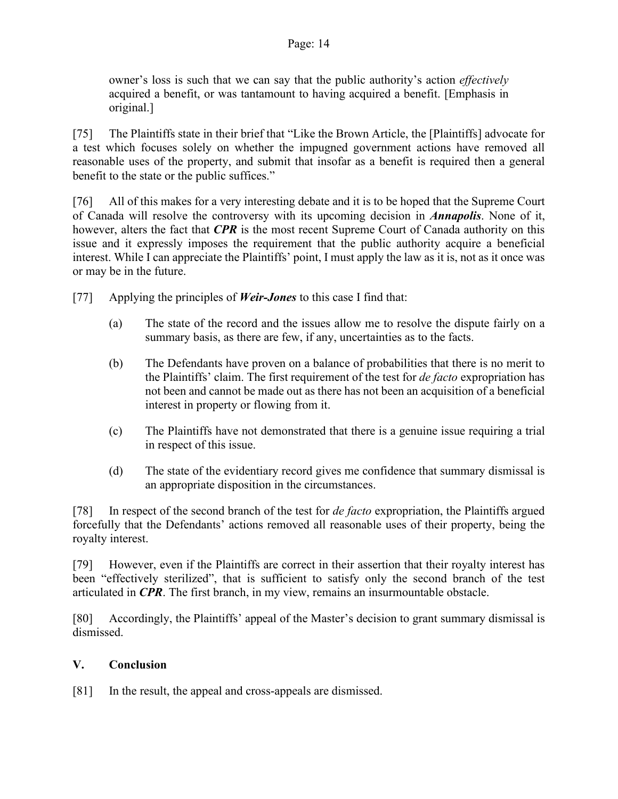#### Page: 14

owner's loss is such that we can say that the public authority's action *effectively* acquired a benefit, or was tantamount to having acquired a benefit. [Emphasis in original.]

[75] The Plaintiffs state in their brief that "Like the Brown Article, the [Plaintiffs] advocate for a test which focuses solely on whether the impugned government actions have removed all reasonable uses of the property, and submit that insofar as a benefit is required then a general benefit to the state or the public suffices."

[76] All of this makes for a very interesting debate and it is to be hoped that the Supreme Court of Canada will resolve the controversy with its upcoming decision in *Annapolis*. None of it, however, alters the fact that *CPR* is the most recent Supreme Court of Canada authority on this issue and it expressly imposes the requirement that the public authority acquire a beneficial interest. While I can appreciate the Plaintiffs' point, I must apply the law as it is, not as it once was or may be in the future.

- [77] Applying the principles of *Weir-Jones* to this case I find that:
	- (a) The state of the record and the issues allow me to resolve the dispute fairly on a summary basis, as there are few, if any, uncertainties as to the facts.
	- (b) The Defendants have proven on a balance of probabilities that there is no merit to the Plaintiffs' claim. The first requirement of the test for *de facto* expropriation has not been and cannot be made out as there has not been an acquisition of a beneficial interest in property or flowing from it.
	- (c) The Plaintiffs have not demonstrated that there is a genuine issue requiring a trial in respect of this issue.
	- (d) The state of the evidentiary record gives me confidence that summary dismissal is an appropriate disposition in the circumstances.

[78] In respect of the second branch of the test for *de facto* expropriation, the Plaintiffs argued forcefully that the Defendants' actions removed all reasonable uses of their property, being the royalty interest.

[79] However, even if the Plaintiffs are correct in their assertion that their royalty interest has been "effectively sterilized", that is sufficient to satisfy only the second branch of the test articulated in *CPR*. The first branch, in my view, remains an insurmountable obstacle.

[80] Accordingly, the Plaintiffs' appeal of the Master's decision to grant summary dismissal is dismissed.

## **V. Conclusion**

[81] In the result, the appeal and cross-appeals are dismissed.